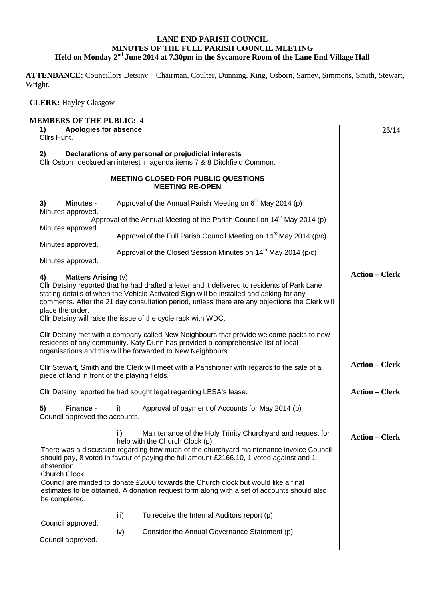## **LANE END PARISH COUNCIL MINUTES OF THE FULL PARISH COUNCIL MEETING Held on Monday 2nd June 2014 at 7.30pm in the Sycamore Room of the Lane End Village Hall**

**ATTENDANCE:** Councillors Detsiny – Chairman, Coulter, Dunning, King, Osborn, Sarney, Simmons, Smith, Stewart, Wright.

 **CLERK:** Hayley Glasgow

| <b>MEMBERS OF THE PUBLIC: 4</b>                     |      |                                                                                                                                                                                                                                                                                            |                       |
|-----------------------------------------------------|------|--------------------------------------------------------------------------------------------------------------------------------------------------------------------------------------------------------------------------------------------------------------------------------------------|-----------------------|
| Apologies for absence<br>1)<br>Cllrs Hunt.          |      |                                                                                                                                                                                                                                                                                            | 25/14                 |
| 2)                                                  |      | Declarations of any personal or prejudicial interests<br>Cllr Osborn declared an interest in agenda items 7 & 8 Ditchfield Common.                                                                                                                                                         |                       |
|                                                     |      | <b>MEETING CLOSED FOR PUBLIC QUESTIONS</b><br><b>MEETING RE-OPEN</b>                                                                                                                                                                                                                       |                       |
| <b>Minutes -</b><br>3)                              |      | Approval of the Annual Parish Meeting on $6th$ May 2014 (p)                                                                                                                                                                                                                                |                       |
| Minutes approved.<br>Minutes approved.              |      | Approval of the Annual Meeting of the Parish Council on 14 <sup>th</sup> May 2014 (p)                                                                                                                                                                                                      |                       |
|                                                     |      | Approval of the Full Parish Council Meeting on 14 <sup>rd</sup> May 2014 (p/c)                                                                                                                                                                                                             |                       |
| Minutes approved.<br>Minutes approved.              |      | Approval of the Closed Session Minutes on 14 <sup>th</sup> May 2014 (p/c)                                                                                                                                                                                                                  |                       |
| 4)<br><b>Matters Arising (v)</b>                    |      |                                                                                                                                                                                                                                                                                            | <b>Action – Clerk</b> |
|                                                     |      | CIIr Detsiny reported that he had drafted a letter and it delivered to residents of Park Lane<br>stating details of when the Vehicle Activated Sign will be installed and asking for any<br>comments. After the 21 day consultation period, unless there are any objections the Clerk will |                       |
| place the order.                                    |      | Cllr Detsiny will raise the issue of the cycle rack with WDC.                                                                                                                                                                                                                              |                       |
|                                                     |      | CIIr Detsiny met with a company called New Neighbours that provide welcome packs to new<br>residents of any community. Katy Dunn has provided a comprehensive list of local<br>organisations and this will be forwarded to New Neighbours.                                                 |                       |
| piece of land in front of the playing fields.       |      | CIIr Stewart, Smith and the Clerk will meet with a Parishioner with regards to the sale of a                                                                                                                                                                                               | <b>Action – Clerk</b> |
|                                                     |      | Cllr Detsiny reported he had sought legal regarding LESA's lease.                                                                                                                                                                                                                          | <b>Action – Clerk</b> |
| Finance -<br>5)<br>Council approved the accounts.   | i)   | Approval of payment of Accounts for May 2014 (p)                                                                                                                                                                                                                                           |                       |
|                                                     | ii)  | Maintenance of the Holy Trinity Churchyard and request for<br>help with the Church Clock (p)<br>There was a discussion regarding how much of the churchyard maintenance invoice Council<br>should pay, 8 voted in favour of paying the full amount £2166.10, 1 voted against and 1         | <b>Action – Clerk</b> |
| abstention.<br><b>Church Clock</b><br>be completed. |      | Council are minded to donate £2000 towards the Church clock but would like a final<br>estimates to be obtained. A donation request form along with a set of accounts should also                                                                                                           |                       |
|                                                     | iii) | To receive the Internal Auditors report (p)                                                                                                                                                                                                                                                |                       |
| Council approved.<br>Council approved.              | iv)  | Consider the Annual Governance Statement (p)                                                                                                                                                                                                                                               |                       |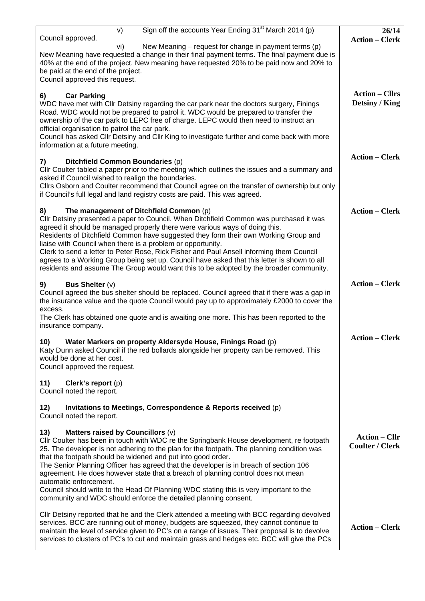| Sign off the accounts Year Ending 31 <sup>st</sup> March 2014 (p)<br>V)<br>Council approved.                                                                                                                                                                                                                                                                                                                                                                                                                                                                            | 26/14                                          |
|-------------------------------------------------------------------------------------------------------------------------------------------------------------------------------------------------------------------------------------------------------------------------------------------------------------------------------------------------------------------------------------------------------------------------------------------------------------------------------------------------------------------------------------------------------------------------|------------------------------------------------|
| New Meaning - request for change in payment terms (p)<br>vi)<br>New Meaning have requested a change in their final payment terms. The final payment due is                                                                                                                                                                                                                                                                                                                                                                                                              | <b>Action - Clerk</b>                          |
| 40% at the end of the project. New meaning have requested 20% to be paid now and 20% to<br>be paid at the end of the project.<br>Council approved this request.                                                                                                                                                                                                                                                                                                                                                                                                         |                                                |
| <b>Car Parking</b><br>6)                                                                                                                                                                                                                                                                                                                                                                                                                                                                                                                                                | <b>Action – Cllrs</b><br>Detsiny / King        |
| WDC have met with Cllr Detsiny regarding the car park near the doctors surgery, Finings<br>Road. WDC would not be prepared to patrol it. WDC would be prepared to transfer the<br>ownership of the car park to LEPC free of charge. LEPC would then need to instruct an<br>official organisation to patrol the car park.<br>Council has asked Cllr Detsiny and Cllr King to investigate further and come back with more<br>information at a future meeting.                                                                                                             |                                                |
| Ditchfield Common Boundaries (p)<br>7)<br>CIIr Coulter tabled a paper prior to the meeting which outlines the issues and a summary and<br>asked if Council wished to realign the boundaries.<br>Cllrs Osborn and Coulter recommend that Council agree on the transfer of ownership but only                                                                                                                                                                                                                                                                             | <b>Action – Clerk</b>                          |
| if Council's full legal and land registry costs are paid. This was agreed.                                                                                                                                                                                                                                                                                                                                                                                                                                                                                              |                                                |
| The management of Ditchfield Common (p)<br>8)<br>Cllr Detsiny presented a paper to Council. When Ditchfield Common was purchased it was<br>agreed it should be managed properly there were various ways of doing this.<br>Residents of Ditchfield Common have suggested they form their own Working Group and<br>liaise with Council when there is a problem or opportunity.<br>Clerk to send a letter to Peter Rose, Rick Fisher and Paul Ansell informing them Council<br>agrees to a Working Group being set up. Council have asked that this letter is shown to all | <b>Action – Clerk</b>                          |
| residents and assume The Group would want this to be adopted by the broader community.                                                                                                                                                                                                                                                                                                                                                                                                                                                                                  | <b>Action – Clerk</b>                          |
| <b>Bus Shelter (v)</b><br>9)<br>Council agreed the bus shelter should be replaced. Council agreed that if there was a gap in<br>the insurance value and the quote Council would pay up to approximately £2000 to cover the<br>excess.                                                                                                                                                                                                                                                                                                                                   |                                                |
| The Clerk has obtained one quote and is awaiting one more. This has been reported to the<br>insurance company.                                                                                                                                                                                                                                                                                                                                                                                                                                                          |                                                |
| Water Markers on property Aldersyde House, Finings Road (p)<br>10)<br>Katy Dunn asked Council if the red bollards alongside her property can be removed. This<br>would be done at her cost.<br>Council approved the request.                                                                                                                                                                                                                                                                                                                                            | <b>Action – Clerk</b>                          |
| Clerk's report (p)<br>11)<br>Council noted the report.                                                                                                                                                                                                                                                                                                                                                                                                                                                                                                                  |                                                |
| Invitations to Meetings, Correspondence & Reports received (p)<br>12)<br>Council noted the report.                                                                                                                                                                                                                                                                                                                                                                                                                                                                      |                                                |
| Matters raised by Councillors (v)<br>13)<br>Cllr Coulter has been in touch with WDC re the Springbank House development, re footpath<br>25. The developer is not adhering to the plan for the footpath. The planning condition was<br>that the footpath should be widened and put into good order.<br>The Senior Planning Officer has agreed that the developer is in breach of section 106<br>agreement. He does however state that a breach of planning control does not mean<br>automatic enforcement.                                                               | <b>Action – Cllr</b><br><b>Coulter / Clerk</b> |
| Council should write to the Head Of Planning WDC stating this is very important to the<br>community and WDC should enforce the detailed planning consent.                                                                                                                                                                                                                                                                                                                                                                                                               |                                                |
| CIIr Detsiny reported that he and the Clerk attended a meeting with BCC regarding devolved<br>services. BCC are running out of money, budgets are squeezed, they cannot continue to<br>maintain the level of service given to PC's on a range of issues. Their proposal is to devolve<br>services to clusters of PC's to cut and maintain grass and hedges etc. BCC will give the PCs                                                                                                                                                                                   | <b>Action – Clerk</b>                          |